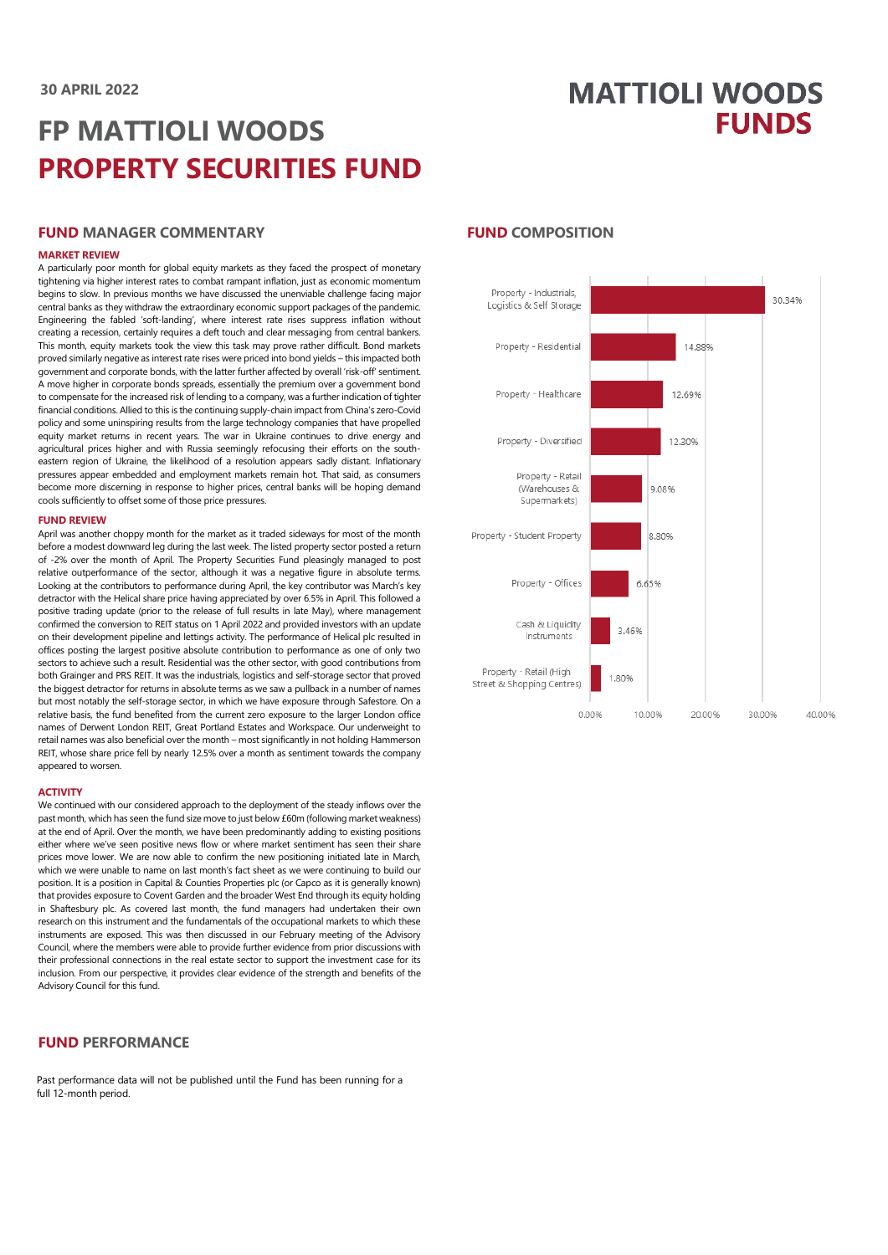# **MATTIOLI WOODS FUNDS**

# **FP MATTIOLI WOODS PROPERTY SECURITIES FUND**

#### **FUND MANAGER COMMENTARY**

#### **MARKET REVIEW**

A particularly poor month for global equity markets as they faced the prospect of monetary tightening via higher interest rates to combat rampant inflation, just as economic momentum begins to slow. In previous months we have discussed the unenviable challenge facing major central banks as they withdraw the extraordinary economic support packages of the pandemic. Engineering the fabled 'soft-landing', where interest rate rises suppress inflation without creating a recession, certainly requires a deft touch and clear messaging from central bankers. This month, equity markets took the view this task may prove rather difficult. Bond markets proved similarly negative as interest rate rises were priced into bond yields – this impacted both government and corporate bonds, with the latter further affected by overall 'risk-off' sentiment. A move higher in corporate bonds spreads, essentially the premium over a government bond to compensate for the increased risk of lending to a company, was a further indication of tighter financial conditions. Allied to this is the continuing supply-chain impact from China's zero-Covid policy and some uninspiring results from the large technology companies that have propelled equity market returns in recent years. The war in Ukraine continues to drive energy and agricultural prices higher and with Russia seemingly refocusing their efforts on the southeastern region of Ukraine, the likelihood of a resolution appears sadly distant. Inflationary pressures appear embedded and employment markets remain hot. That said, as consumers become more discerning in response to higher prices, central banks will be hoping demand cools sufficiently to offset some of those price pressures.

#### **FUND REVIEW**

April was another choppy month for the market as it traded sideways for most of the month before a modest downward leg during the last week. The listed property sector posted a return of -2% over the month of April. The Property Securities Fund pleasingly managed to post relative outperformance of the sector, although it was a negative figure in absolute terms. Looking at the contributors to performance during April, the key contributor was March's key detractor with the Helical share price having appreciated by over 6.5% in April. This followed a positive trading update (prior to the release of full results in late May), where management confirmed the conversion to REIT status on 1 April 2022 and provided investors with an update on their development pipeline and lettings activity. The performance of Helical plc resulted in offices posting the largest positive absolute contribution to performance as one of only two sectors to achieve such a result. Residential was the other sector, with good contributions from both Grainger and PRS REIT. It was the industrials, logistics and self-storage sector that proved the biggest detractor for returns in absolute terms as we saw a pullback in a number of names but most notably the self-storage sector, in which we have exposure through Safestore. On a relative basis, the fund benefited from the current zero exposure to the larger London office names of Derwent London REIT, Great Portland Estates and Workspace. Our underweight to retail names was also beneficial over the month – most significantly in not holding Hammerson REIT, whose share price fell by nearly 12.5% over a month as sentiment towards the company appeared to worsen.

#### **ACTIVITY**

We continued with our considered approach to the deployment of the steady inflows over the past month, which has seen the fund size move to just below £60m (following market weakness) at the end of April. Over the month, we have been predominantly adding to existing positions either where we've seen positive news flow or where market sentiment has seen their share prices move lower. We are now able to confirm the new positioning initiated late in March, which we were unable to name on last month's fact sheet as we were continuing to build our position. It is a position in Capital & Counties Properties plc (or Capco as it is generally known) that provides exposure to Covent Garden and the broader West End through its equity holding in Shaftesbury plc. As covered last month, the fund managers had undertaken their own research on this instrument and the fundamentals of the occupational markets to which these instruments are exposed. This was then discussed in our February meeting of the Advisory Council, where the members were able to provide further evidence from prior discussions with their professional connections in the real estate sector to support the investment case for its inclusion. From our perspective, it provides clear evidence of the strength and benefits of the Advisory Council for this fund.

## **FUND PERFORMANCE**

Past performance data will not be published until the Fund has been running for a full 12-month period.

## **FUND COMPOSITION**